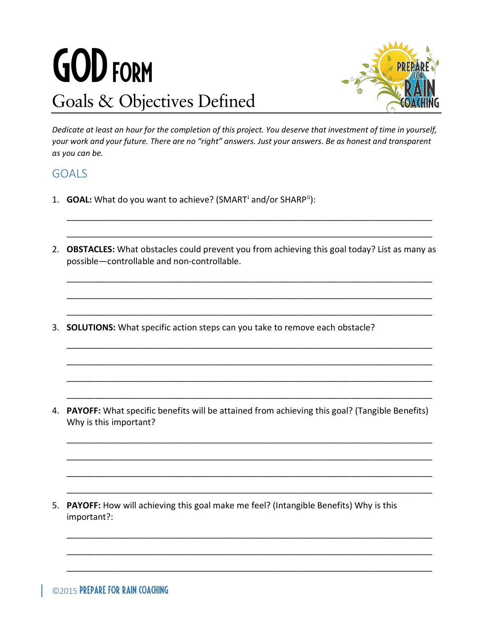## GOD Form Goals & Objectives Defined



*Dedicate at least an hour for the completion of this project. You deserve that investment of time in yourself, your work and your future. There are no "right" answers. Just your answers. Be as honest and transparent as you can be.*

## GOALS

- 1. **GOAL:** What do you want to achieve? (SMART[i](#page-1-0) and/or SHARP[ii](#page-1-1)):
- 2. **OBSTACLES:** What obstacles could prevent you from achieving this goal today? List as many as possible—controllable and non-controllable.

\_\_\_\_\_\_\_\_\_\_\_\_\_\_\_\_\_\_\_\_\_\_\_\_\_\_\_\_\_\_\_\_\_\_\_\_\_\_\_\_\_\_\_\_\_\_\_\_\_\_\_\_\_\_\_\_\_\_\_\_\_\_\_\_\_\_\_\_\_\_\_\_\_\_\_\_

\_\_\_\_\_\_\_\_\_\_\_\_\_\_\_\_\_\_\_\_\_\_\_\_\_\_\_\_\_\_\_\_\_\_\_\_\_\_\_\_\_\_\_\_\_\_\_\_\_\_\_\_\_\_\_\_\_\_\_\_\_\_\_\_\_\_\_\_\_\_\_\_\_\_\_\_

\_\_\_\_\_\_\_\_\_\_\_\_\_\_\_\_\_\_\_\_\_\_\_\_\_\_\_\_\_\_\_\_\_\_\_\_\_\_\_\_\_\_\_\_\_\_\_\_\_\_\_\_\_\_\_\_\_\_\_\_\_\_\_\_\_\_\_\_\_\_\_\_\_\_\_\_

\_\_\_\_\_\_\_\_\_\_\_\_\_\_\_\_\_\_\_\_\_\_\_\_\_\_\_\_\_\_\_\_\_\_\_\_\_\_\_\_\_\_\_\_\_\_\_\_\_\_\_\_\_\_\_\_\_\_\_\_\_\_\_\_\_\_\_\_\_\_\_\_\_\_\_\_

\_\_\_\_\_\_\_\_\_\_\_\_\_\_\_\_\_\_\_\_\_\_\_\_\_\_\_\_\_\_\_\_\_\_\_\_\_\_\_\_\_\_\_\_\_\_\_\_\_\_\_\_\_\_\_\_\_\_\_\_\_\_\_\_\_\_\_\_\_\_\_\_\_\_\_\_

\_\_\_\_\_\_\_\_\_\_\_\_\_\_\_\_\_\_\_\_\_\_\_\_\_\_\_\_\_\_\_\_\_\_\_\_\_\_\_\_\_\_\_\_\_\_\_\_\_\_\_\_\_\_\_\_\_\_\_\_\_\_\_\_\_\_\_\_\_\_\_\_\_\_\_\_

\_\_\_\_\_\_\_\_\_\_\_\_\_\_\_\_\_\_\_\_\_\_\_\_\_\_\_\_\_\_\_\_\_\_\_\_\_\_\_\_\_\_\_\_\_\_\_\_\_\_\_\_\_\_\_\_\_\_\_\_\_\_\_\_\_\_\_\_\_\_\_\_\_\_\_\_

\_\_\_\_\_\_\_\_\_\_\_\_\_\_\_\_\_\_\_\_\_\_\_\_\_\_\_\_\_\_\_\_\_\_\_\_\_\_\_\_\_\_\_\_\_\_\_\_\_\_\_\_\_\_\_\_\_\_\_\_\_\_\_\_\_\_\_\_\_\_\_\_\_\_\_\_

\_\_\_\_\_\_\_\_\_\_\_\_\_\_\_\_\_\_\_\_\_\_\_\_\_\_\_\_\_\_\_\_\_\_\_\_\_\_\_\_\_\_\_\_\_\_\_\_\_\_\_\_\_\_\_\_\_\_\_\_\_\_\_\_\_\_\_\_\_\_\_\_\_\_\_\_

\_\_\_\_\_\_\_\_\_\_\_\_\_\_\_\_\_\_\_\_\_\_\_\_\_\_\_\_\_\_\_\_\_\_\_\_\_\_\_\_\_\_\_\_\_\_\_\_\_\_\_\_\_\_\_\_\_\_\_\_\_\_\_\_\_\_\_\_\_\_\_\_\_\_\_\_

\_\_\_\_\_\_\_\_\_\_\_\_\_\_\_\_\_\_\_\_\_\_\_\_\_\_\_\_\_\_\_\_\_\_\_\_\_\_\_\_\_\_\_\_\_\_\_\_\_\_\_\_\_\_\_\_\_\_\_\_\_\_\_\_\_\_\_\_\_\_\_\_\_\_\_\_

\_\_\_\_\_\_\_\_\_\_\_\_\_\_\_\_\_\_\_\_\_\_\_\_\_\_\_\_\_\_\_\_\_\_\_\_\_\_\_\_\_\_\_\_\_\_\_\_\_\_\_\_\_\_\_\_\_\_\_\_\_\_\_\_\_\_\_\_\_\_\_\_\_\_\_\_

\_\_\_\_\_\_\_\_\_\_\_\_\_\_\_\_\_\_\_\_\_\_\_\_\_\_\_\_\_\_\_\_\_\_\_\_\_\_\_\_\_\_\_\_\_\_\_\_\_\_\_\_\_\_\_\_\_\_\_\_\_\_\_\_\_\_\_\_\_\_\_\_\_\_\_\_

\_\_\_\_\_\_\_\_\_\_\_\_\_\_\_\_\_\_\_\_\_\_\_\_\_\_\_\_\_\_\_\_\_\_\_\_\_\_\_\_\_\_\_\_\_\_\_\_\_\_\_\_\_\_\_\_\_\_\_\_\_\_\_\_\_\_\_\_\_\_\_\_\_\_\_\_

\_\_\_\_\_\_\_\_\_\_\_\_\_\_\_\_\_\_\_\_\_\_\_\_\_\_\_\_\_\_\_\_\_\_\_\_\_\_\_\_\_\_\_\_\_\_\_\_\_\_\_\_\_\_\_\_\_\_\_\_\_\_\_\_\_\_\_\_\_\_\_\_\_\_\_\_

\_\_\_\_\_\_\_\_\_\_\_\_\_\_\_\_\_\_\_\_\_\_\_\_\_\_\_\_\_\_\_\_\_\_\_\_\_\_\_\_\_\_\_\_\_\_\_\_\_\_\_\_\_\_\_\_\_\_\_\_\_\_\_\_\_\_\_\_\_\_\_\_\_\_\_\_

3. **SOLUTIONS:** What specific action steps can you take to remove each obstacle?

4. **PAYOFF:** What specific benefits will be attained from achieving this goal? (Tangible Benefits) Why is this important?

5. **PAYOFF:** How will achieving this goal make me feel? (Intangible Benefits) Why is this important?: